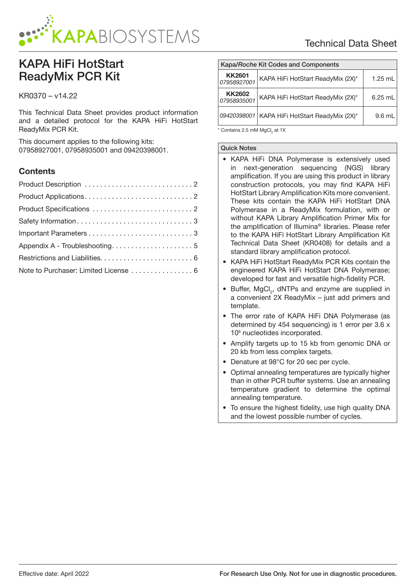

# KAPA HiFi HotStart ReadyMix PCR Kit

# KR0370 – v14.22

This Technical Data Sheet provides product information and a detailed protocol for the KAPA HiFi HotStart ReadyMix PCR Kit.

This document applies to the following kits: 07958927001, 07958935001 and 09420398001.

# **Contents**

| Note to Purchaser: Limited License  6 |
|---------------------------------------|

| Kapa/Roche Kit Codes and Components |                                                 |           |  |  |
|-------------------------------------|-------------------------------------------------|-----------|--|--|
| <b>KK2601</b><br>07958927001        | KAPA HiFi HotStart ReadyMix (2X)*               | $1.25$ mL |  |  |
| <b>KK2602</b><br>07958935001        | KAPA HiFi HotStart ReadyMix (2X)*               | $6.25$ mL |  |  |
|                                     | 09420398001   KAPA HiFi HotStart ReadyMix (2X)* | $9.6$ mL  |  |  |

 $^{\star}$  Contains 2.5 mM MgCl $_2$  at 1X

#### Quick Notes

- KAPA HiFi DNA Polymerase is extensively used in next-generation sequencing (NGS) library amplification. If you are using this product in library construction protocols, you may find KAPA HiFi HotStart Library Amplification Kits more convenient. These kits contain the KAPA HiFi HotStart DNA Polymerase in a ReadyMix formulation, with or without KAPA Library Amplification Primer Mix for the amplification of Illumina® libraries. Please refer to the KAPA HiFi HotStart Library Amplification Kit Technical Data Sheet (KR0408) for details and a standard library amplification protocol.
- KAPA HiFi HotStart ReadyMix PCR Kits contain the engineered KAPA HiFi HotStart DNA Polymerase; developed for fast and versatile high-fidelity PCR.
- Buffer,  $MgCl<sub>2</sub>$ , dNTPs and enzyme are supplied in a convenient 2X ReadyMix – just add primers and template.
- The error rate of KAPA HiFi DNA Polymerase (as determined by 454 sequencing) is 1 error per 3.6 x 10<sup>6</sup> nucleotides incorporated.
- Amplify targets up to 15 kb from genomic DNA or 20 kb from less complex targets.
- Denature at 98°C for 20 sec per cycle.
- Optimal annealing temperatures are typically higher than in other PCR buffer systems. Use an annealing temperature gradient to determine the optimal annealing temperature.
- To ensure the highest fidelity, use high quality DNA and the lowest possible number of cycles.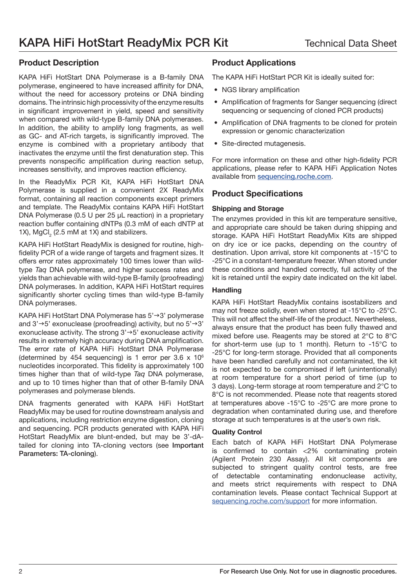# Product Description

KAPA HiFi HotStart DNA Polymerase is a B-family DNA polymerase, engineered to have increased affinity for DNA, without the need for accessory proteins or DNA binding domains. The intrinsic high processivity of the enzyme results in significant improvement in yield, speed and sensitivity when compared with wild-type B-family DNA polymerases. In addition, the ability to amplify long fragments, as well as GC- and AT-rich targets, is significantly improved. The enzyme is combined with a proprietary antibody that inactivates the enzyme until the first denaturation step. This prevents nonspecific amplification during reaction setup, increases sensitivity, and improves reaction efficiency.

In the ReadyMix PCR Kit, KAPA HiFi HotStart DNA Polymerase is supplied in a convenient 2X ReadyMix format, containing all reaction components except primers and template. The ReadyMix contains KAPA HiFi HotStart DNA Polymerase (0.5 U per 25 µL reaction) in a proprietary reaction buffer containing dNTPs (0.3 mM of each dNTP at 1X), MgCl<sub>2</sub> (2.5 mM at 1X) and stabilizers.

KAPA HiFi HotStart ReadyMix is designed for routine, highfidelity PCR of a wide range of targets and fragment sizes. It offers error rates approximately 100 times lower than wildtype Taq DNA polymerase, and higher success rates and yields than achievable with wild-type B-family (proofreading) DNA polymerases. In addition, KAPA HiFi HotStart requires significantly shorter cycling times than wild-type B-family DNA polymerases.

KAPA HiFi HotStart DNA Polymerase has  $5' \rightarrow 3'$  polymerase and  $3' \rightarrow 5'$  exonuclease (proofreading) activity, but no  $5' \rightarrow 3'$ exonuclease activity. The strong  $3' \rightarrow 5'$  exonuclease activity results in extremely high accuracy during DNA amplification. The error rate of KAPA HiFi HotStart DNA Polymerase (determined by 454 sequencing) is 1 error per  $3.6 \times 10^6$ nucleotides incorporated. This fidelity is approximately 100 times higher than that of wild-type Taq DNA polymerase. and up to 10 times higher than that of other B-family DNA polymerases and polymerase blends.

DNA fragments generated with KAPA HiFi HotStart ReadyMix may be used for routine downstream analysis and applications, including restriction enzyme digestion, cloning and sequencing. PCR products generated with KAPA HiFi HotStart ReadyMix are blunt-ended, but may be 3'-dAtailed for cloning into TA-cloning vectors (see Important Parameters: TA-cloning).

# Product Applications

The KAPA HiFi HotStart PCR Kit is ideally suited for:

- NGS library amplification
- Amplification of fragments for Sanger sequencing (direct sequencing or sequencing of cloned PCR products)
- Amplification of DNA fragments to be cloned for protein expression or genomic characterization
- Site-directed mutagenesis.

For more information on these and other high-fidelity PCR applications, please refer to KAPA HiFi Application Notes available from sequencing.roche.com.

# Product Specifications

# Shipping and Storage

The enzymes provided in this kit are temperature sensitive, and appropriate care should be taken during shipping and storage. KAPA HiFi HotStart ReadyMix Kits are shipped on dry ice or ice packs, depending on the country of destination. Upon arrival, store kit components at -15°C to -25°C in a constant-temperature freezer. When stored under these conditions and handled correctly, full activity of the kit is retained until the expiry date indicated on the kit label.

# **Handling**

KAPA HiFi HotStart ReadyMix contains isostabilizers and may not freeze solidly, even when stored at -15°C to -25°C. This will not affect the shelf-life of the product. Nevertheless, always ensure that the product has been fully thawed and mixed before use. Reagents may be stored at 2°C to 8°C for short-term use (up to 1 month). Return to -15°C to -25°C for long-term storage. Provided that all components have been handled carefully and not contaminated, the kit is not expected to be compromised if left (unintentionally) at room temperature for a short period of time (up to 3 days). Long-term storage at room temperature and 2°C to 8°C is not recommended. Please note that reagents stored at temperatures above -15°C to -25°C are more prone to degradation when contaminated during use, and therefore storage at such temperatures is at the user's own risk.

#### Quality Control

Each batch of KAPA HiFi HotStart DNA Polymerase is confirmed to contain <2% contaminating protein (Agilent Protein 230 Assay). All kit components are subjected to stringent quality control tests, are free of detectable contaminating endonuclease activity, and meets strict requirements with respect to DNA contamination levels. Please contact Technical Support at sequencing.roche.com/support for more information.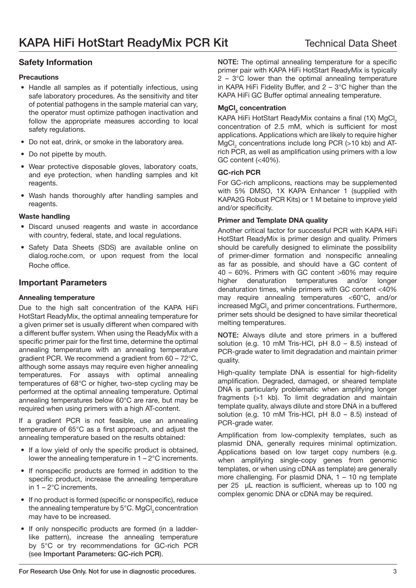# Safety Information

#### **Precautions**

- Handle all samples as if potentially infectious, using safe laboratory procedures. As the sensitivity and titer of potential pathogens in the sample material can vary, the operator must optimize pathogen inactivation and follow the appropriate measures according to local safety regulations.
- Do not eat, drink, or smoke in the laboratory area.
- Do not pipette by mouth.
- Wear protective disposable gloves, laboratory coats, and eye protection, when handling samples and kit reagents.
- Wash hands thoroughly after handling samples and reagents.

# Waste handling

- Discard unused reagents and waste in accordance with country, federal, state, and local regulations.
- Safety Data Sheets (SDS) are available online on dialog.roche.com, or upon request from the local Roche office.

# Important Parameters

#### Annealing temperature

Due to the high salt concentration of the KAPA HiFi HotStart ReadyMix, the optimal annealing temperature for a given primer set is usually different when compared with a different buffer system. When using the ReadyMix with a specific primer pair for the first time, determine the optimal annealing temperature with an annealing temperature gradient PCR. We recommend a gradient from 60 – 72°C, although some assays may require even higher annealing temperatures. For assays with optimal annealing temperatures of 68°C or higher, two-step cycling may be performed at the optimal annealing temperature. Optimal annealing temperatures below 60°C are rare, but may be required when using primers with a high AT-content.

If a gradient PCR is not feasible, use an annealing temperature of 65°C as a first approach, and adjust the annealing temperature based on the results obtained:

- If a low yield of only the specific product is obtained, lower the annealing temperature in 1 – 2°C increments.
- If nonspecific products are formed in addition to the specific product, increase the annealing temperature in 1 – 2°C increments.
- If no product is formed (specific or nonspecific), reduce the annealing temperature by  $5^{\circ}$ C. MgCl<sub>2</sub> concentration may have to be increased.
- If only nonspecific products are formed (in a ladderlike pattern), increase the annealing temperature by 5°C or try recommendations for GC-rich PCR (see Important Parameters: GC-rich PCR).

NOTE: The optimal annealing temperature for a specific primer pair with KAPA HiFi HotStart ReadyMix is typically  $2 - 3$ °C lower than the optimal annealing temperature in KAPA HiFi Fidelity Buffer, and 2 – 3°C higher than the KAPA HiFi GC Buffer optimal annealing temperature.

# MgCl<sub>2</sub> concentration

KAPA HiFi HotStart ReadyMix contains a final (1X) MgCl<sub>2</sub> concentration of 2.5 mM, which is sufficient for most applications. Applications which are likely to require higher  $MgCl<sub>2</sub>$  concentrations include long PCR (>10 kb) and ATrich PCR, as well as amplification using primers with a low GC content (<40%).

# GC-rich PCR

For GC-rich amplicons, reactions may be supplemented with 5% DMSO, 1X KAPA Enhancer 1 (supplied with KAPA2G Robust PCR Kits) or 1 M betaine to improve yield and/or specificity.

# Primer and Template DNA quality

Another critical factor for successful PCR with KAPA HiFi HotStart ReadyMix is primer design and quality. Primers should be carefully designed to eliminate the possibility of primer-dimer formation and nonspecific annealing as far as possible, and should have a GC content of 40 – 60%. Primers with GC content >60% may require higher denaturation temperatures and/or longer denaturation times, while primers with GC content <40% may require annealing temperatures <60°C, and/or increased MgCl<sub>2</sub> and primer concentrations. Furthermore, primer sets should be designed to have similar theoretical melting temperatures.

NOTE: Always dilute and store primers in a buffered solution (e.g. 10 mM Tris-HCl, pH 8.0 – 8.5) instead of PCR-grade water to limit degradation and maintain primer quality.

High-quality template DNA is essential for high-fidelity amplification. Degraded, damaged, or sheared template DNA is particularly problematic when amplifying longer fragments (>1 kb). To limit degradation and maintain template quality, always dilute and store DNA in a buffered solution (e.g. 10 mM Tris-HCl, pH 8.0 – 8.5) instead of PCR-grade water.

Amplification from low-complexity templates, such as plasmid DNA, generally requires minimal optimization. Applications based on low target copy numbers (e.g. when amplifying single-copy genes from genomic templates, or when using cDNA as template) are generally more challenging. For plasmid DNA, 1 – 10 ng template per 25 uL reaction is sufficient, whereas up to 100 ng complex genomic DNA or cDNA may be required.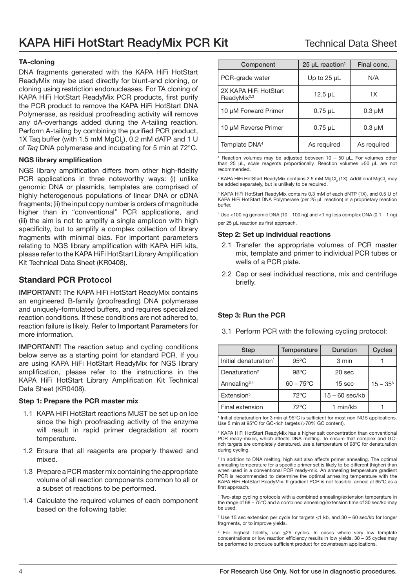# TA-cloning

DNA fragments generated with the KAPA HiFi HotStart ReadyMix may be used directly for blunt-end cloning, or cloning using restriction endonucleases. For TA cloning of KAPA HiFi HotStart ReadyMix PCR products, first purify the PCR product to remove the KAPA HiFi HotStart DNA Polymerase, as residual proofreading activity will remove any dA-overhangs added during the A-tailing reaction. Perform A-tailing by combining the purified PCR product, 1X Taq buffer (with 1.5 mM  $MgCl<sub>2</sub>$ ), 0.2 mM dATP and 1 U of Taq DNA polymerase and incubating for 5 min at 72°C.

#### NGS library amplification

NGS library amplification differs from other high-fidelity PCR applications in three noteworthy ways: (i) unlike genomic DNA or plasmids, templates are comprised of highly heterogenous populations of linear DNA or cDNA fragments; (ii) the input copy number is orders of magnitude higher than in "conventional" PCR applications, and (iii) the aim is not to amplify a single amplicon with high specificity, but to amplify a complex collection of library fragments with minimal bias. For important parameters relating to NGS library amplification with KAPA HiFi kits, please refer to the KAPA HiFi HotStart Library Amplification Kit Technical Data Sheet (KR0408).

# Standard PCR Protocol

IMPORTANT! The KAPA HiFi HotStart ReadyMix contains an engineered B-family (proofreading) DNA polymerase and uniquely-formulated buffers, and requires specialized reaction conditions. If these conditions are not adhered to, reaction failure is likely. Refer to Important Parameters for more information.

IMPORTANT! The reaction setup and cycling conditions below serve as a starting point for standard PCR. If you are using KAPA HiFi HotStart ReadyMix for NGS library amplification, please refer to the instructions in the KAPA HiFi HotStart Library Amplification Kit Technical Data Sheet (KR0408).

#### Step 1: Prepare the PCR master mix

- 1.1 KAPA HiFi HotStart reactions MUST be set up on ice since the high proofreading activity of the enzyme will result in rapid primer degradation at room temperature.
- 1.2 Ensure that all reagents are properly thawed and mixed.
- 1.3 Prepare a PCR master mix containing the appropriate volume of all reaction components common to all or a subset of reactions to be performed.
- 1.4 Calculate the required volumes of each component based on the following table:

| Component                                        | 25 $\mu$ L reaction <sup>1</sup> | Final conc. |
|--------------------------------------------------|----------------------------------|-------------|
| PCR-grade water                                  | Up to $25 \mu L$                 | N/A         |
| 2X KAPA HiFi HotStart<br>ReadyMix <sup>2,3</sup> | 12.5 $\mu$ L                     | 1X          |
| 10 µM Forward Primer                             | $0.75$ µL                        | $0.3 \mu M$ |
| 10 µM Reverse Primer                             | $0.75$ µL                        | $0.3 \mu M$ |
| Template DNA <sup>4</sup>                        | As required                      | As required |

1 Reaction volumes may be adjusted between 10 – 50 µL. For volumes other than 25 μL, scale reagents proportionally. Reaction volumes >50 µL are not recommended.

<sup>2</sup> KAPA HiFi HotStart ReadyMix contains 2.5 mM MgCl<sub>2</sub> (1X). Additional MgCl<sub>2</sub> may be added separately, but is unlikely to be required.

3 KAPA HiFi HotStart ReadyMix contains 0.3 mM of each dNTP (1X), and 0.5 U of KAPA HiFi HotStart DNA Polymerase (per 25 µL reaction) in a proprietary reaction buffer.

 $4$  Use  $<$ 100 ng genomic DNA (10 – 100 ng) and  $<$ 1 ng less complex DNA (0.1 – 1 ng) per 25 µL reaction as first approach.

#### Step 2: Set up individual reactions

- 2.1 Transfer the appropriate volumes of PCR master mix, template and primer to individual PCR tubes or wells of a PCR plate.
- 2.2 Cap or seal individual reactions, mix and centrifuge briefly.

#### Step 3: Run the PCR

3.1 Perform PCR with the following cycling protocol:

| <b>Step</b>                       | Temperature         | <b>Duration</b>  | <b>Cycles</b> |
|-----------------------------------|---------------------|------------------|---------------|
| Initial denaturation <sup>1</sup> | $95^{\circ}$ C      | 3 min            |               |
| Denaturation <sup>2</sup>         | $98^{\circ}$ C      | 20 sec           |               |
| Annealing <sup>3,4</sup>          | $60 - 75^{\circ}$ C | 15 sec           | $15 - 35^{6}$ |
| Extension <sup>5</sup>            | $72^{\circ}$ C      | $15 - 60$ sec/kb |               |
| Final extension                   | $72^{\circ}$ C      | 1 min/kb         |               |

1 Initial denaturation for 3 min at 95°C is sufficient for most non-NGS applications. Use 5 min at 95°C for GC-rich targets (>70% GC content).

2 KAPA HiFi HotStart ReadyMix has a higher salt concentration than conventional PCR ready-mixes, which affects DNA melting. To ensure that complex and GCrich targets are completely denatured, use a temperature of 98°C for denaturation during cycling.

3 In addition to DNA melting, high salt also affects primer annealing. The optimal annealing temperature for a specific primer set is likely to be different (higher) than when used in a conventional PCR ready-mix. An annealing temperature gradient PCR is recommended to determine the optimal annealing temperature with the KAPA HiFi HotStart ReadyMix. If gradient PCR is not feasible, anneal at 65°C as a first approach.

4 Two-step cycling protocols with a combined annealing/extension temperature in the range of 68 – 75°C and a combined annealing/extension time of 30 sec/kb may be used.

<sup>5</sup> Use 15 sec extension per cycle for targets ≤1 kb, and 30 – 60 sec/kb for longer fragments, or to improve yields.

 $6$  For highest fidelity, use ≤25 cycles. In cases where very low template concentrations or low reaction efficiency results in low yields, 30 – 35 cycles may be performed to produce sufficient product for downstream applications.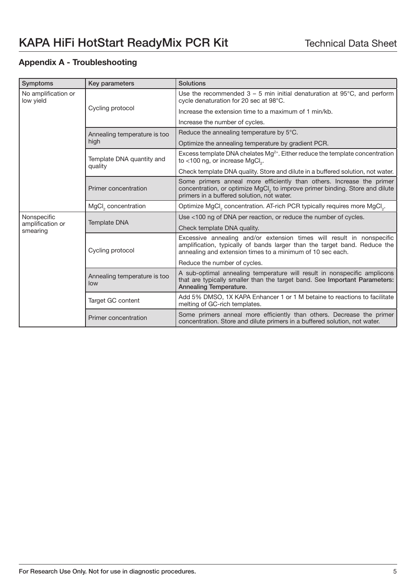# Appendix A - Troubleshooting

| Symptoms                                    | Key parameters                       | Solutions                                                                                                                                                                                                        |
|---------------------------------------------|--------------------------------------|------------------------------------------------------------------------------------------------------------------------------------------------------------------------------------------------------------------|
| No amplification or<br>low yield            | Cycling protocol                     | Use the recommended $3 - 5$ min initial denaturation at 95 $\degree$ C, and perform<br>cycle denaturation for 20 sec at 98°C.                                                                                    |
|                                             |                                      | Increase the extension time to a maximum of 1 min/kb.                                                                                                                                                            |
|                                             |                                      | Increase the number of cycles.                                                                                                                                                                                   |
|                                             | Annealing temperature is too<br>high | Reduce the annealing temperature by $5^{\circ}$ C.                                                                                                                                                               |
|                                             |                                      | Optimize the annealing temperature by gradient PCR.                                                                                                                                                              |
|                                             | Template DNA quantity and<br>quality | Excess template DNA chelates Mg <sup>2+</sup> . Either reduce the template concentration<br>to <100 ng, or increase MgCl <sub>2</sub> .                                                                          |
|                                             |                                      | Check template DNA quality. Store and dilute in a buffered solution, not water.                                                                                                                                  |
|                                             | Primer concentration                 | Some primers anneal more efficiently than others. Increase the primer<br>concentration, or optimize MgCl, to improve primer binding. Store and dilute<br>primers in a buffered solution, not water.              |
|                                             | MgCl <sub>2</sub> concentration      | Optimize MgCl <sub>2</sub> concentration. AT-rich PCR typically requires more MgCl <sub>2</sub> .                                                                                                                |
| Nonspecific<br>amplification or<br>smearing | <b>Template DNA</b>                  | Use <100 ng of DNA per reaction, or reduce the number of cycles.                                                                                                                                                 |
|                                             |                                      | Check template DNA quality.                                                                                                                                                                                      |
|                                             | Cycling protocol                     | Excessive annealing and/or extension times will result in nonspecific<br>amplification, typically of bands larger than the target band. Reduce the<br>annealing and extension times to a minimum of 10 sec each. |
|                                             |                                      | Reduce the number of cycles.                                                                                                                                                                                     |
|                                             | Annealing temperature is too<br>low  | A sub-optimal annealing temperature will result in nonspecific amplicons<br>that are typically smaller than the target band. See Important Parameters:<br>Annealing Temperature.                                 |
|                                             | Target GC content                    | Add 5% DMSO, 1X KAPA Enhancer 1 or 1 M betaine to reactions to facilitate<br>melting of GC-rich templates.                                                                                                       |
|                                             | Primer concentration                 | Some primers anneal more efficiently than others. Decrease the primer<br>concentration. Store and dilute primers in a buffered solution, not water.                                                              |